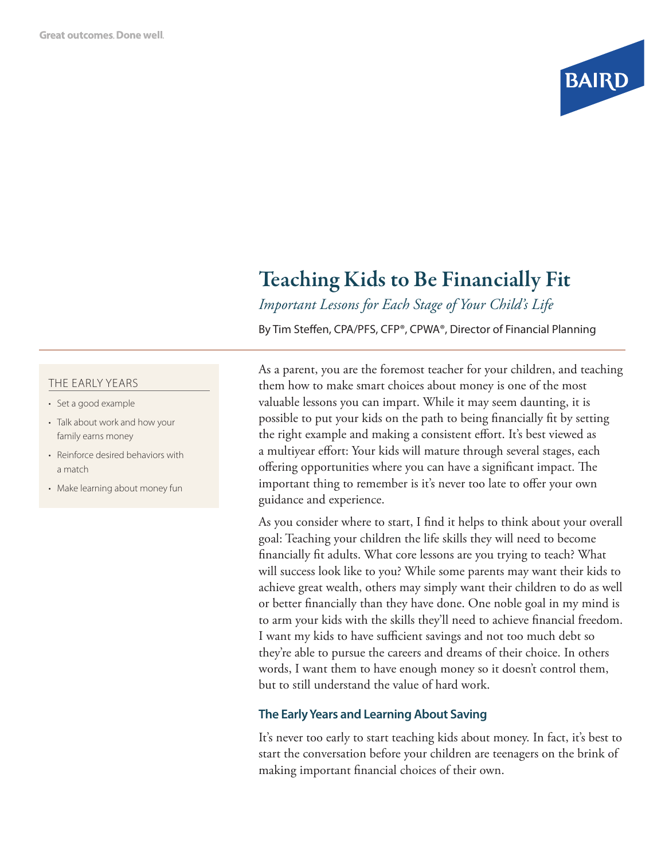

# Teaching Kids to Be Financially Fit

*Important Lessons for Each Stage of Your Child's Life*

By Tim Steffen, CPA/PFS, CFP®, CPWA®, Director of Financial Planning

#### THE EARLY YEARS

- Set a good example
- Talk about work and how your family earns money
- Reinforce desired behaviors with a match
- Make learning about money fun

As a parent, you are the foremost teacher for your children, and teaching them how to make smart choices about money is one of the most valuable lessons you can impart. While it may seem daunting, it is possible to put your kids on the path to being financially fit by setting the right example and making a consistent effort. It's best viewed as a multiyear effort: Your kids will mature through several stages, each offering opportunities where you can have a significant impact. The important thing to remember is it's never too late to offer your own guidance and experience.

As you consider where to start, I find it helps to think about your overall goal: Teaching your children the life skills they will need to become financially fit adults. What core lessons are you trying to teach? What will success look like to you? While some parents may want their kids to achieve great wealth, others may simply want their children to do as well or better financially than they have done. One noble goal in my mind is to arm your kids with the skills they'll need to achieve financial freedom. I want my kids to have sufficient savings and not too much debt so they're able to pursue the careers and dreams of their choice. In others words, I want them to have enough money so it doesn't control them, but to still understand the value of hard work.

# **The Early Years and Learning About Saving**

It's never too early to start teaching kids about money. In fact, it's best to start the conversation before your children are teenagers on the brink of making important financial choices of their own.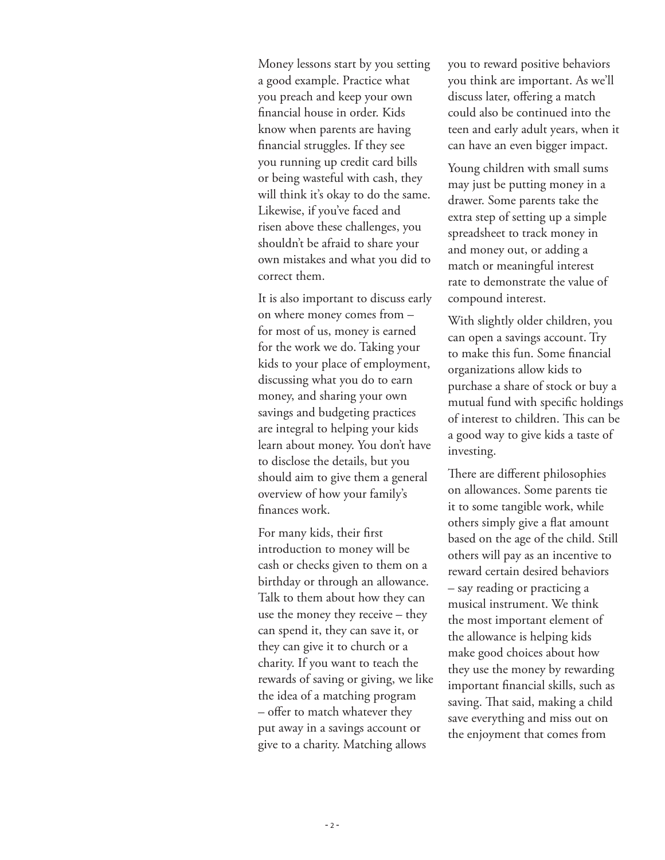Money lessons start by you setting a good example. Practice what you preach and keep your own financial house in order. Kids know when parents are having financial struggles. If they see you running up credit card bills or being wasteful with cash, they will think it's okay to do the same. Likewise, if you've faced and risen above these challenges, you shouldn't be afraid to share your own mistakes and what you did to correct them.

It is also important to discuss early on where money comes from – for most of us, money is earned for the work we do. Taking your kids to your place of employment, discussing what you do to earn money, and sharing your own savings and budgeting practices are integral to helping your kids learn about money. You don't have to disclose the details, but you should aim to give them a general overview of how your family's finances work.

For many kids, their first introduction to money will be cash or checks given to them on a birthday or through an allowance. Talk to them about how they can use the money they receive – they can spend it, they can save it, or they can give it to church or a charity. If you want to teach the rewards of saving or giving, we like the idea of a matching program – offer to match whatever they put away in a savings account or give to a charity. Matching allows

you to reward positive behaviors you think are important. As we'll discuss later, offering a match could also be continued into the teen and early adult years, when it can have an even bigger impact.

Young children with small sums may just be putting money in a drawer. Some parents take the extra step of setting up a simple spreadsheet to track money in and money out, or adding a match or meaningful interest rate to demonstrate the value of compound interest.

With slightly older children, you can open a savings account. Try to make this fun. Some financial organizations allow kids to purchase a share of stock or buy a mutual fund with specific holdings of interest to children. This can be a good way to give kids a taste of investing.

There are different philosophies on allowances. Some parents tie it to some tangible work, while others simply give a flat amount based on the age of the child. Still others will pay as an incentive to reward certain desired behaviors – say reading or practicing a musical instrument. We think the most important element of the allowance is helping kids make good choices about how they use the money by rewarding important financial skills, such as saving. That said, making a child save everything and miss out on the enjoyment that comes from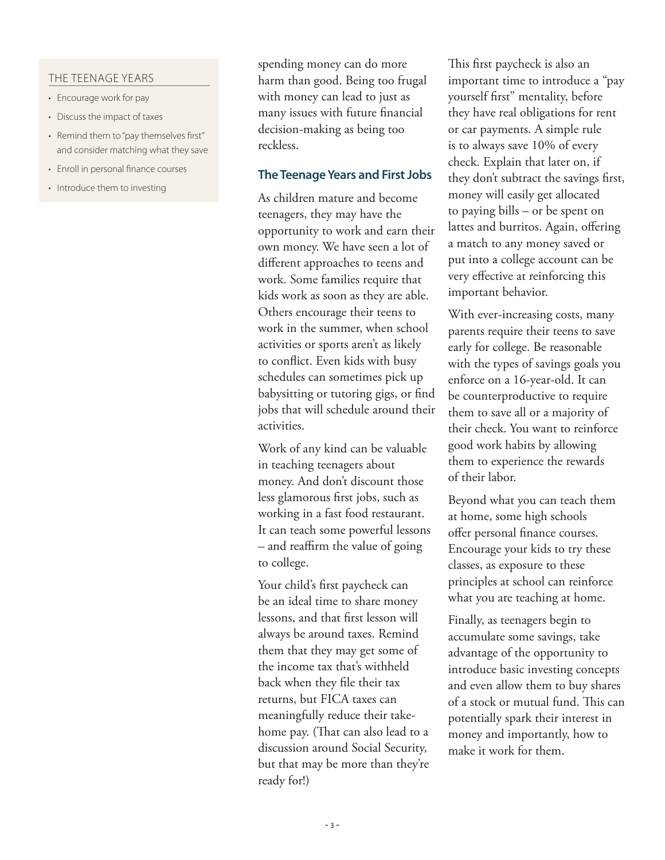#### THE TEENAGE YEARS

- Encourage work for pay
- Discuss the impact of taxes
- Remind them to "pay themselves first" and consider matching what they save
- Enroll in personal finance courses
- Introduce them to investing

spending money can do more harm than good. Being too frugal with money can lead to just as many issues with future financial decision-making as being too reckless.

## **The Teenage Years and First Jobs**

As children mature and become teenagers, they may have the opportunity to work and earn their own money. We have seen a lot of different approaches to teens and work. Some families require that kids work as soon as they are able. Others encourage their teens to work in the summer, when school activities or sports aren't as likely to conflict. Even kids with busy schedules can sometimes pick up babysitting or tutoring gigs, or find jobs that will schedule around their activities.

Work of any kind can be valuable in teaching teenagers about money. And don't discount those less glamorous first jobs, such as working in a fast food restaurant. It can teach some powerful lessons – and reaffirm the value of going to college.

Your child's first paycheck can be an ideal time to share money lessons, and that first lesson will always be around taxes. Remind them that they may get some of the income tax that's withheld back when they file their tax returns, but FICA taxes can meaningfully reduce their takehome pay. (That can also lead to a discussion around Social Security, but that may be more than they're ready for!)

This first paycheck is also an important time to introduce a "pay yourself first" mentality, before they have real obligations for rent or car payments. A simple rule is to always save 10% of every check. Explain that later on, if they don't subtract the savings first, money will easily get allocated to paying bills – or be spent on lattes and burritos. Again, offering a match to any money saved or put into a college account can be very effective at reinforcing this important behavior.

With ever-increasing costs, many parents require their teens to save early for college. Be reasonable with the types of savings goals you enforce on a 16-year-old. It can be counterproductive to require them to save all or a majority of their check. You want to reinforce good work habits by allowing them to experience the rewards of their labor.

Beyond what you can teach them at home, some high schools offer personal finance courses. Encourage your kids to try these classes, as exposure to these principles at school can reinforce what you are teaching at home.

Finally, as teenagers begin to accumulate some savings, take advantage of the opportunity to introduce basic investing concepts and even allow them to buy shares of a stock or mutual fund. This can potentially spark their interest in money and importantly, how to make it work for them.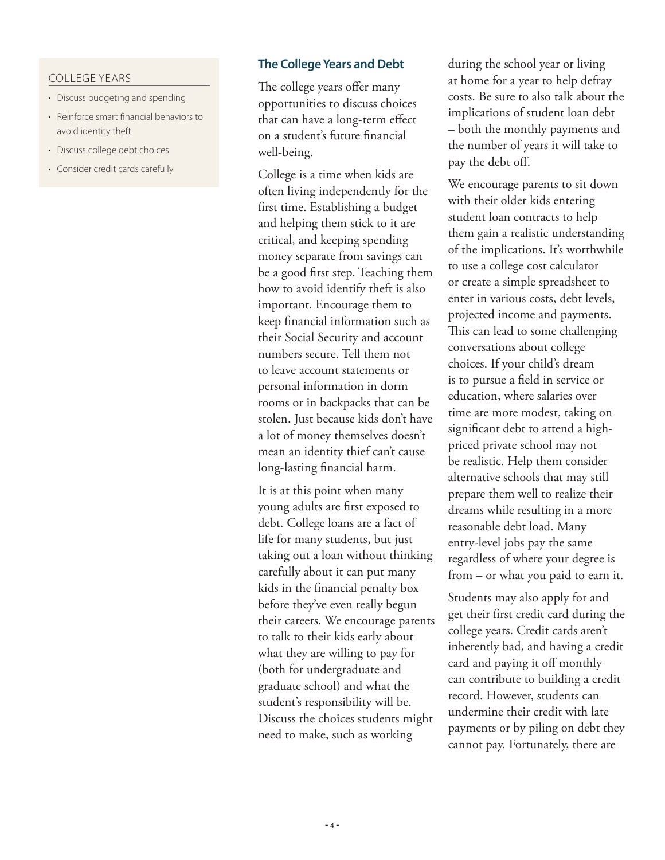### COLLEGE YEARS

- Discuss budgeting and spending
- Reinforce smart financial behaviors to avoid identity theft
- Discuss college debt choices
- Consider credit cards carefully

#### **The College Years and Debt**

The college years offer many opportunities to discuss choices that can have a long-term effect on a student's future financial well-being.

College is a time when kids are often living independently for the first time. Establishing a budget and helping them stick to it are critical, and keeping spending money separate from savings can be a good first step. Teaching them how to avoid identify theft is also important. Encourage them to keep financial information such as their Social Security and account numbers secure. Tell them not to leave account statements or personal information in dorm rooms or in backpacks that can be stolen. Just because kids don't have a lot of money themselves doesn't mean an identity thief can't cause long-lasting financial harm.

It is at this point when many young adults are first exposed to debt. College loans are a fact of life for many students, but just taking out a loan without thinking carefully about it can put many kids in the financial penalty box before they've even really begun their careers. We encourage parents to talk to their kids early about what they are willing to pay for (both for undergraduate and graduate school) and what the student's responsibility will be. Discuss the choices students might need to make, such as working

during the school year or living at home for a year to help defray costs. Be sure to also talk about the implications of student loan debt – both the monthly payments and the number of years it will take to pay the debt off.

We encourage parents to sit down with their older kids entering student loan contracts to help them gain a realistic understanding of the implications. It's worthwhile to use a college cost calculator or create a simple spreadsheet to enter in various costs, debt levels, projected income and payments. This can lead to some challenging conversations about college choices. If your child's dream is to pursue a field in service or education, where salaries over time are more modest, taking on significant debt to attend a highpriced private school may not be realistic. Help them consider alternative schools that may still prepare them well to realize their dreams while resulting in a more reasonable debt load. Many entry-level jobs pay the same regardless of where your degree is from – or what you paid to earn it.

Students may also apply for and get their first credit card during the college years. Credit cards aren't inherently bad, and having a credit card and paying it off monthly can contribute to building a credit record. However, students can undermine their credit with late payments or by piling on debt they cannot pay. Fortunately, there are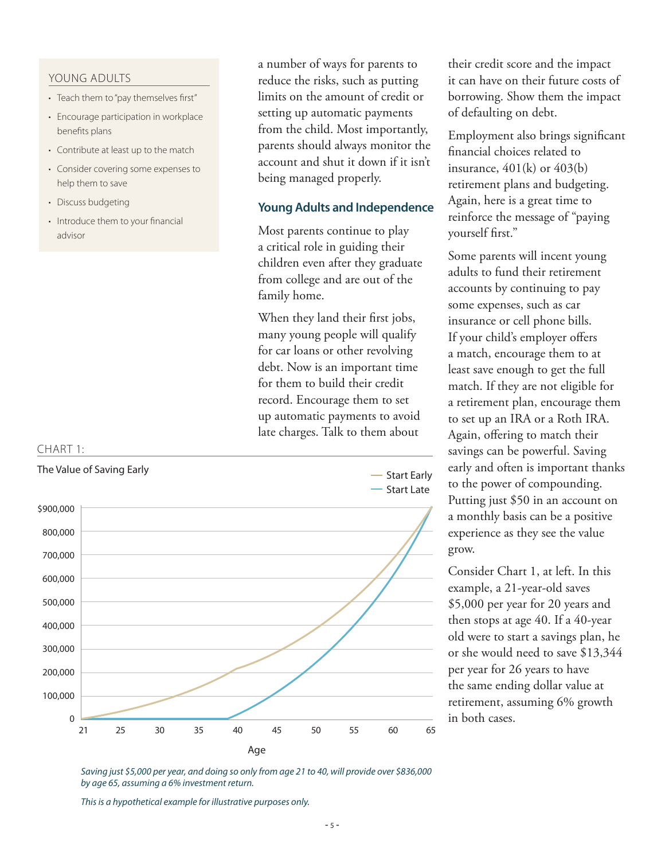#### YOUNG ADULTS

- Teach them to "pay themselves first"
- Encourage participation in workplace benefits plans
- Contribute at least up to the match
- Consider covering some expenses to help them to save
- Discuss budgeting
- Introduce them to your financial advisor

a number of ways for parents to reduce the risks, such as putting limits on the amount of credit or setting up automatic payments from the child. Most importantly, parents should always monitor the account and shut it down if it isn't being managed properly.

## **Young Adults and Independence**

Most parents continue to play a critical role in guiding their children even after they graduate from college and are out of the family home.

When they land their first jobs, many young people will qualify for car loans or other revolving debt. Now is an important time for them to build their credit record. Encourage them to set up automatic payments to avoid late charges. Talk to them about



their credit score and the impact it can have on their future costs of borrowing. Show them the impact of defaulting on debt.

Employment also brings significant financial choices related to insurance,  $401(k)$  or  $403(k)$ retirement plans and budgeting. Again, here is a great time to reinforce the message of "paying yourself first."

Some parents will incent young adults to fund their retirement accounts by continuing to pay some expenses, such as car insurance or cell phone bills. If your child's employer offers a match, encourage them to at least save enough to get the full match. If they are not eligible for a retirement plan, encourage them to set up an IRA or a Roth IRA. Again, offering to match their savings can be powerful. Saving early and often is important thanks to the power of compounding. Putting just \$50 in an account on a monthly basis can be a positive experience as they see the value grow.

Consider Chart 1, at left. In this example, a 21-year-old saves \$5,000 per year for 20 years and then stops at age 40. If a 40-year old were to start a savings plan, he or she would need to save \$13,344 per year for 26 years to have the same ending dollar value at retirement, assuming 6% growth in both cases.

*Saving just \$5,000 per year, and doing so only from age 21 to 40, will provide over \$836,000 by age 65, assuming a 6% investment return.* 

*This is a hypothetical example for illustrative purposes only.*